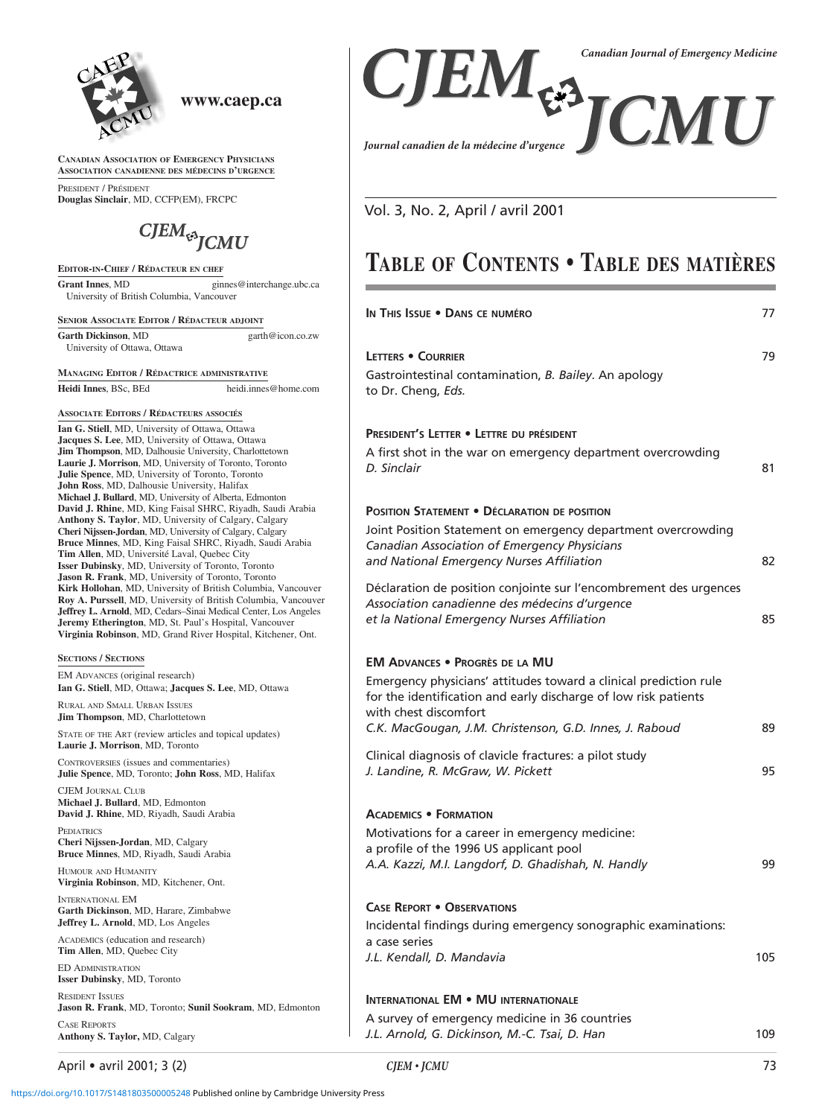

## **www.caep.ca**

**CANADIAN ASSOCIATION OF EMERGENCY PHYSICIANS ASSOCIATION CANADIENNE DES MÉDECINS D'URGENCE**

PRESIDENT / PRÉSIDENT **Douglas Sinclair**, MD, CCFP(EM), FRCPC

# $CJEM$ <sub>t<sup>3</sup></sub> $JCMU$

#### **EDITOR-IN-CHIEF / RÉDACTEUR EN CHEF**

Grant Innes, MD ginnes@interchange.ubc.ca University of British Columbia, Vancouver

**SENIOR ASSOCIATE EDITOR / RÉDACTEUR ADJOINT**

**Garth Dickinson**, MD garth@icon.co.zw University of Ottawa, Ottawa

**MANAGING EDITOR / RÉDACTRICE ADMINISTRATIVE Heidi Innes**, BSc, BEd heidi.innes@home.com

### **ASSOCIATE EDITORS / RÉDACTEURS ASSOCIÉS**

**Ian G. Stiell**, MD, University of Ottawa, Ottawa **Jacques S. Lee**, MD, University of Ottawa, Ottawa **Jim Thompson**, MD, Dalhousie University, Charlottetown **Laurie J. Morrison**, MD, University of Toronto, Toronto **Julie Spence**, MD, University of Toronto, Toronto **John Ross**, MD, Dalhousie University, Halifax **Michael J. Bullard**, MD, University of Alberta, Edmonton **David J. Rhine**, MD, King Faisal SHRC, Riyadh, Saudi Arabia **Anthony S. Taylor**, MD, University of Calgary, Calgary **Cheri Nijssen-Jordan**, MD, University of Calgary, Calgary **Bruce Minnes**, MD, King Faisal SHRC, Riyadh, Saudi Arabia **Tim Allen**, MD, Université Laval, Quebec City **Isser Dubinsky**, MD, University of Toronto, Toronto **Jason R. Frank**, MD, University of Toronto, Toronto **Kirk Hollohan**, MD, University of British Columbia, Vancouver **Roy A. Purssell**, MD, University of British Columbia, Vancouver **Jeffrey L. Arnold**, MD, Cedars–Sinai Medical Center, Los Angeles **Jeremy Etherington**, MD, St. Paul's Hospital, Vancouver **Virginia Robinson**, MD, Grand River Hospital, Kitchener, Ont.

#### **SECTIONS / SECTIONS**

EM ADVANCES (original research) **Ian G. Stiell**, MD, Ottawa; **Jacques S. Lee**, MD, Ottawa

RURAL AND SMALL URBAN ISSUES **Jim Thompson**, MD, Charlottetown

STATE OF THE ART (review articles and topical updates) **Laurie J. Morrison**, MD, Toronto

CONTROVERSIES (issues and commentaries) **Julie Spence**, MD, Toronto; **John Ross**, MD, Halifax

CJEM JOURNAL CLUB **Michael J. Bullard**, MD, Edmonton **David J. Rhine**, MD, Riyadh, Saudi Arabia

**PEDIATRICS Cheri Nijssen-Jordan**, MD, Calgary **Bruce Minnes**, MD, Riyadh, Saudi Arabia

HUMOUR AND HUMANITY **Virginia Robinson**, MD, Kitchener, Ont.

INTERNATIONAL EM **Garth Dickinson**, MD, Harare, Zimbabwe **Jeffrey L. Arnold**, MD, Los Angeles

ACADEMICS (education and research) **Tim Allen**, MD, Quebec City

ED ADMINISTRATION **Isser Dubinsky**, MD, Toronto

RESIDENT ISSUES **Jason R. Frank**, MD, Toronto; **Sunil Sookram**, MD, Edmonton CASE REPORTS **Anthony S. Taylor,** MD, Calgary

April • avril 2001; 3 (2) *CJEM • JCMU* 73



Vol. 3, No. 2, April / avril 2001

# **TABLE OF CONTENTS • TABLE DES MATIÈRES**

| In This Issue . DANS CE NUMÉRO                                                                                                                                | 77  |
|---------------------------------------------------------------------------------------------------------------------------------------------------------------|-----|
| <b>LETTERS • COURRIER</b><br>Gastrointestinal contamination, B. Bailey. An apology<br>to Dr. Cheng, Eds.                                                      | 79  |
| PRESIDENT'S LETTER . LETTRE DU PRÉSIDENT                                                                                                                      |     |
| A first shot in the war on emergency department overcrowding<br>D. Sinclair                                                                                   | 81  |
| <b>POSITION STATEMENT . DÉCLARATION DE POSITION</b>                                                                                                           |     |
| Joint Position Statement on emergency department overcrowding<br>Canadian Association of Emergency Physicians<br>and National Emergency Nurses Affiliation    | 82  |
| Déclaration de position conjointe sur l'encombrement des urgences                                                                                             |     |
| Association canadienne des médecins d'urgence<br>et la National Emergency Nurses Affiliation                                                                  | 85  |
| <b>EM ADVANCES . PROGRÈS DE LA MU</b>                                                                                                                         |     |
| Emergency physicians' attitudes toward a clinical prediction rule<br>for the identification and early discharge of low risk patients<br>with chest discomfort |     |
| C.K. MacGougan, J.M. Christenson, G.D. Innes, J. Raboud                                                                                                       | 89  |
| Clinical diagnosis of clavicle fractures: a pilot study<br>J. Landine, R. McGraw, W. Pickett                                                                  | 95  |
| <b>ACADEMICS • FORMATION</b>                                                                                                                                  |     |
| Motivations for a career in emergency medicine:                                                                                                               |     |
| a profile of the 1996 US applicant pool<br>A.A. Kazzi, M.I. Langdorf, D. Ghadishah, N. Handly                                                                 | 99  |
| <b>CASE REPORT . OBSERVATIONS</b>                                                                                                                             |     |
| Incidental findings during emergency sonographic examinations:<br>a case series                                                                               |     |
| J.L. Kendall, D. Mandavia                                                                                                                                     | 105 |
| <b>INTERNATIONAL EM • MU INTERNATIONALE</b>                                                                                                                   |     |
| A survey of emergency medicine in 36 countries                                                                                                                |     |
| J.L. Arnold, G. Dickinson, M.-C. Tsai, D. Han                                                                                                                 | 109 |